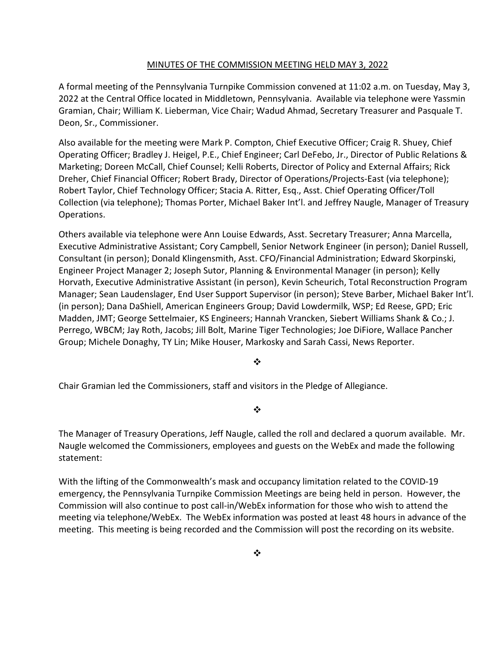### MINUTES OF THE COMMISSION MEETING HELD MAY 3, 2022

A formal meeting of the Pennsylvania Turnpike Commission convened at 11:02 a.m. on Tuesday, May 3, 2022 at the Central Office located in Middletown, Pennsylvania. Available via telephone were Yassmin Gramian, Chair; William K. Lieberman, Vice Chair; Wadud Ahmad, Secretary Treasurer and Pasquale T. Deon, Sr., Commissioner.

Also available for the meeting were Mark P. Compton, Chief Executive Officer; Craig R. Shuey, Chief Operating Officer; Bradley J. Heigel, P.E., Chief Engineer; Carl DeFebo, Jr., Director of Public Relations & Marketing; Doreen McCall, Chief Counsel; Kelli Roberts, Director of Policy and External Affairs; Rick Dreher, Chief Financial Officer; Robert Brady, Director of Operations/Projects-East (via telephone); Robert Taylor, Chief Technology Officer; Stacia A. Ritter, Esq., Asst. Chief Operating Officer/Toll Collection (via telephone); Thomas Porter, Michael Baker Int'l. and Jeffrey Naugle, Manager of Treasury Operations.

Others available via telephone were Ann Louise Edwards, Asst. Secretary Treasurer; Anna Marcella, Executive Administrative Assistant; Cory Campbell, Senior Network Engineer (in person); Daniel Russell, Consultant (in person); Donald Klingensmith, Asst. CFO/Financial Administration; Edward Skorpinski, Engineer Project Manager 2; Joseph Sutor, Planning & Environmental Manager (in person); Kelly Horvath, Executive Administrative Assistant (in person), Kevin Scheurich, Total Reconstruction Program Manager; Sean Laudenslager, End User Support Supervisor (in person); Steve Barber, Michael Baker Int'l. (in person); Dana DaShiell, American Engineers Group; David Lowdermilk, WSP; Ed Reese, GPD; Eric Madden, JMT; George Settelmaier, KS Engineers; Hannah Vrancken, Siebert Williams Shank & Co.; J. Perrego, WBCM; Jay Roth, Jacobs; Jill Bolt, Marine Tiger Technologies; Joe DiFiore, Wallace Pancher Group; Michele Donaghy, TY Lin; Mike Houser, Markosky and Sarah Cassi, News Reporter.

 $\bullet^{\bullet}_{\bullet}$ 

Chair Gramian led the Commissioners, staff and visitors in the Pledge of Allegiance.

 $\frac{1}{2}$ 

The Manager of Treasury Operations, Jeff Naugle, called the roll and declared a quorum available. Mr. Naugle welcomed the Commissioners, employees and guests on the WebEx and made the following statement:

With the lifting of the Commonwealth's mask and occupancy limitation related to the COVID-19 emergency, the Pennsylvania Turnpike Commission Meetings are being held in person. However, the Commission will also continue to post call-in/WebEx information for those who wish to attend the meeting via telephone/WebEx. The WebEx information was posted at least 48 hours in advance of the meeting. This meeting is being recorded and the Commission will post the recording on its website.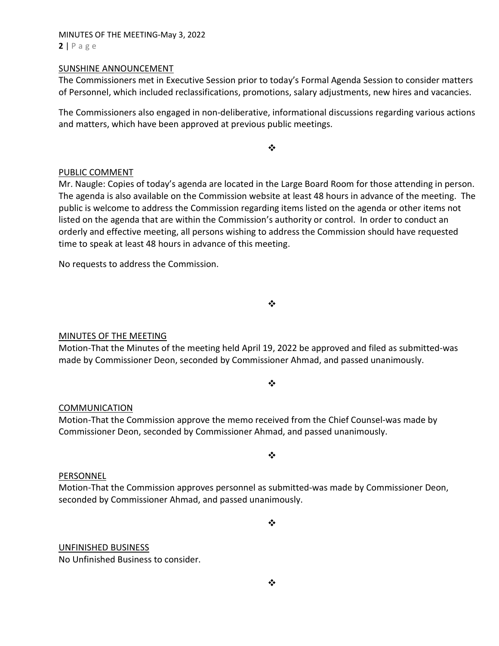#### MINUTES OF THE MEETING-May 3, 2022  $2 | P \text{ a ge}$

#### SUNSHINE ANNOUNCEMENT

The Commissioners met in Executive Session prior to today's Formal Agenda Session to consider matters of Personnel, which included reclassifications, promotions, salary adjustments, new hires and vacancies.

The Commissioners also engaged in non-deliberative, informational discussions regarding various actions and matters, which have been approved at previous public meetings.

 $\frac{1}{2}$ 

# PUBLIC COMMENT

Mr. Naugle: Copies of today's agenda are located in the Large Board Room for those attending in person. The agenda is also available on the Commission website at least 48 hours in advance of the meeting. The public is welcome to address the Commission regarding items listed on the agenda or other items not listed on the agenda that are within the Commission's authority or control. In order to conduct an orderly and effective meeting, all persons wishing to address the Commission should have requested time to speak at least 48 hours in advance of this meeting.

No requests to address the Commission.

| i<br>r<br>i<br>i |  |
|------------------|--|
|                  |  |
|                  |  |

# MINUTES OF THE MEETING

Motion-That the Minutes of the meeting held April 19, 2022 be approved and filed as submitted-was made by Commissioner Deon, seconded by Commissioner Ahmad, and passed unanimously.

# $\bullet \bullet$

# COMMUNICATION

Motion-That the Commission approve the memo received from the Chief Counsel-was made by Commissioner Deon, seconded by Commissioner Ahmad, and passed unanimously.

# $\frac{1}{2}$

# PERSONNEL

Motion-That the Commission approves personnel as submitted-was made by Commissioner Deon, seconded by Commissioner Ahmad, and passed unanimously.

❖

# UNFINISHED BUSINESS

No Unfinished Business to consider.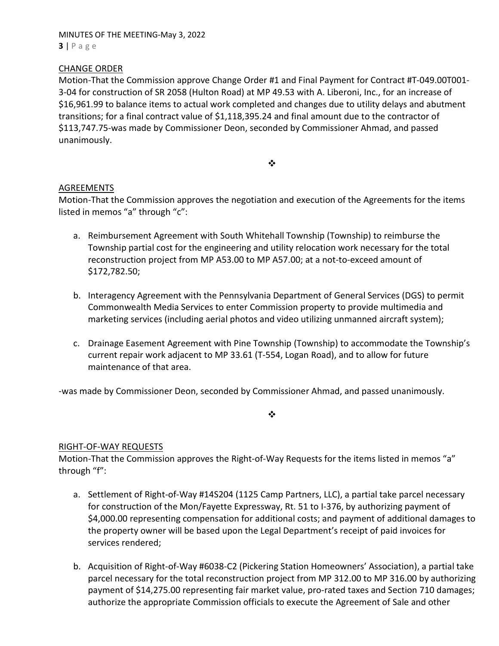MINUTES OF THE MEETING-May 3, 2022  $3 | P \text{age}$ 

# CHANGE ORDER

Motion-That the Commission approve Change Order #1 and Final Payment for Contract #T-049.00T001- 3-04 for construction of SR 2058 (Hulton Road) at MP 49.53 with A. Liberoni, Inc., for an increase of \$16,961.99 to balance items to actual work completed and changes due to utility delays and abutment transitions; for a final contract value of \$1,118,395.24 and final amount due to the contractor of \$113,747.75-was made by Commissioner Deon, seconded by Commissioner Ahmad, and passed unanimously.

 $\bullet \bullet$ 

# **AGREEMENTS**

Motion-That the Commission approves the negotiation and execution of the Agreements for the items listed in memos "a" through "c":

- a. Reimbursement Agreement with South Whitehall Township (Township) to reimburse the Township partial cost for the engineering and utility relocation work necessary for the total reconstruction project from MP A53.00 to MP A57.00; at a not-to-exceed amount of \$172,782.50;
- b. Interagency Agreement with the Pennsylvania Department of General Services (DGS) to permit Commonwealth Media Services to enter Commission property to provide multimedia and marketing services (including aerial photos and video utilizing unmanned aircraft system);
- c. Drainage Easement Agreement with Pine Township (Township) to accommodate the Township's current repair work adjacent to MP 33.61 (T-554, Logan Road), and to allow for future maintenance of that area.

-was made by Commissioner Deon, seconded by Commissioner Ahmad, and passed unanimously.

 $\frac{1}{2}$ 

#### RIGHT-OF-WAY REQUESTS

Motion-That the Commission approves the Right-of-Way Requests for the items listed in memos "a" through "f":

- a. Settlement of Right-of-Way #14S204 (1125 Camp Partners, LLC), a partial take parcel necessary for construction of the Mon/Fayette Expressway, Rt. 51 to I-376, by authorizing payment of \$4,000.00 representing compensation for additional costs; and payment of additional damages to the property owner will be based upon the Legal Department's receipt of paid invoices for services rendered;
- b. Acquisition of Right-of-Way #6038-C2 (Pickering Station Homeowners' Association), a partial take parcel necessary for the total reconstruction project from MP 312.00 to MP 316.00 by authorizing payment of \$14,275.00 representing fair market value, pro-rated taxes and Section 710 damages; authorize the appropriate Commission officials to execute the Agreement of Sale and other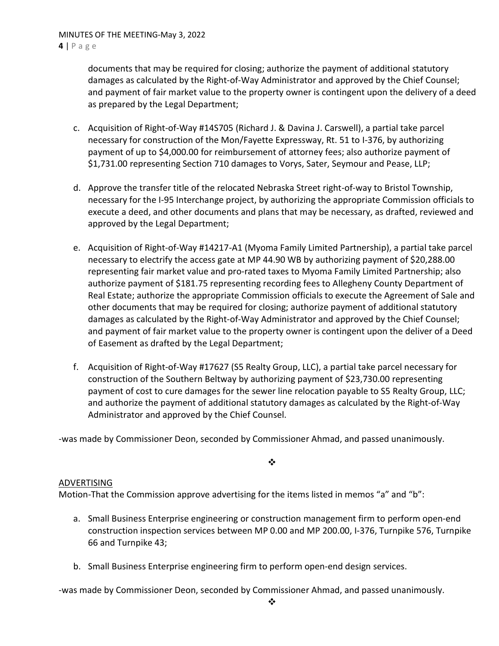documents that may be required for closing; authorize the payment of additional statutory damages as calculated by the Right-of-Way Administrator and approved by the Chief Counsel; and payment of fair market value to the property owner is contingent upon the delivery of a deed as prepared by the Legal Department;

- c. Acquisition of Right-of-Way #14S705 (Richard J. & Davina J. Carswell), a partial take parcel necessary for construction of the Mon/Fayette Expressway, Rt. 51 to I-376, by authorizing payment of up to \$4,000.00 for reimbursement of attorney fees; also authorize payment of \$1,731.00 representing Section 710 damages to Vorys, Sater, Seymour and Pease, LLP;
- d. Approve the transfer title of the relocated Nebraska Street right-of-way to Bristol Township, necessary for the I-95 Interchange project, by authorizing the appropriate Commission officials to execute a deed, and other documents and plans that may be necessary, as drafted, reviewed and approved by the Legal Department;
- e. Acquisition of Right-of-Way #14217-A1 (Myoma Family Limited Partnership), a partial take parcel necessary to electrify the access gate at MP 44.90 WB by authorizing payment of \$20,288.00 representing fair market value and pro-rated taxes to Myoma Family Limited Partnership; also authorize payment of \$181.75 representing recording fees to Allegheny County Department of Real Estate; authorize the appropriate Commission officials to execute the Agreement of Sale and other documents that may be required for closing; authorize payment of additional statutory damages as calculated by the Right-of-Way Administrator and approved by the Chief Counsel; and payment of fair market value to the property owner is contingent upon the deliver of a Deed of Easement as drafted by the Legal Department;
- f. Acquisition of Right-of-Way #17627 (S5 Realty Group, LLC), a partial take parcel necessary for construction of the Southern Beltway by authorizing payment of \$23,730.00 representing payment of cost to cure damages for the sewer line relocation payable to S5 Realty Group, LLC; and authorize the payment of additional statutory damages as calculated by the Right-of-Way Administrator and approved by the Chief Counsel.

-was made by Commissioner Deon, seconded by Commissioner Ahmad, and passed unanimously.

 $\bullet^{\bullet}_{\bullet} \bullet$ 

# ADVERTISING

Motion-That the Commission approve advertising for the items listed in memos "a" and "b":

- a. Small Business Enterprise engineering or construction management firm to perform open-end construction inspection services between MP 0.00 and MP 200.00, I-376, Turnpike 576, Turnpike 66 and Turnpike 43;
- b. Small Business Enterprise engineering firm to perform open-end design services.

-was made by Commissioner Deon, seconded by Commissioner Ahmad, and passed unanimously.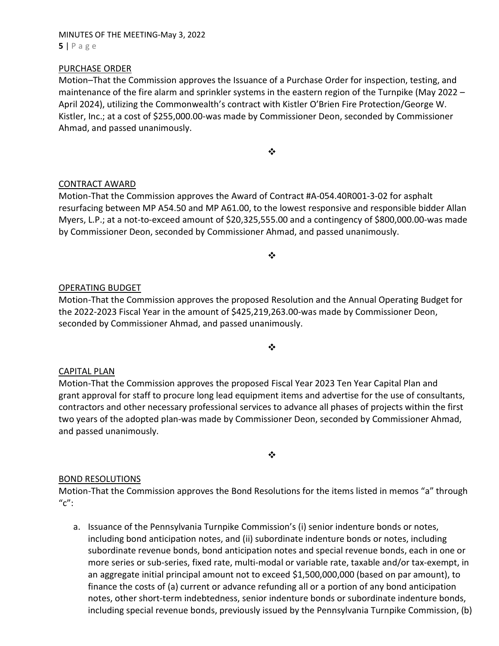MINUTES OF THE MEETING-May 3, 2022  $5 | P \text{ age}$ 

### PURCHASE ORDER

Motion–That the Commission approves the Issuance of a Purchase Order for inspection, testing, and maintenance of the fire alarm and sprinkler systems in the eastern region of the Turnpike (May 2022 – April 2024), utilizing the Commonwealth's contract with Kistler O'Brien Fire Protection/George W. Kistler, Inc.; at a cost of \$255,000.00-was made by Commissioner Deon, seconded by Commissioner Ahmad, and passed unanimously.

❖

# CONTRACT AWARD

Motion-That the Commission approves the Award of Contract #A-054.40R001-3-02 for asphalt resurfacing between MP A54.50 and MP A61.00, to the lowest responsive and responsible bidder Allan Myers, L.P.; at a not-to-exceed amount of \$20,325,555.00 and a contingency of \$800,000.00-was made by Commissioner Deon, seconded by Commissioner Ahmad, and passed unanimously.

 $\frac{1}{2}$ 

### OPERATING BUDGET

Motion-That the Commission approves the proposed Resolution and the Annual Operating Budget for the 2022-2023 Fiscal Year in the amount of \$425,219,263.00-was made by Commissioner Deon, seconded by Commissioner Ahmad, and passed unanimously.

 $\frac{1}{2}$ 

#### CAPITAL PLAN

Motion-That the Commission approves the proposed Fiscal Year 2023 Ten Year Capital Plan and grant approval for staff to procure long lead equipment items and advertise for the use of consultants, contractors and other necessary professional services to advance all phases of projects within the first two years of the adopted plan-was made by Commissioner Deon, seconded by Commissioner Ahmad, and passed unanimously.

 $\frac{1}{2}$ 

#### BOND RESOLUTIONS

Motion-That the Commission approves the Bond Resolutions for the items listed in memos "a" through  $^{\prime\prime}$ c":

a. Issuance of the Pennsylvania Turnpike Commission's (i) senior indenture bonds or notes, including bond anticipation notes, and (ii) subordinate indenture bonds or notes, including subordinate revenue bonds, bond anticipation notes and special revenue bonds, each in one or more series or sub-series, fixed rate, multi-modal or variable rate, taxable and/or tax-exempt, in an aggregate initial principal amount not to exceed \$1,500,000,000 (based on par amount), to finance the costs of (a) current or advance refunding all or a portion of any bond anticipation notes, other short-term indebtedness, senior indenture bonds or subordinate indenture bonds, including special revenue bonds, previously issued by the Pennsylvania Turnpike Commission, (b)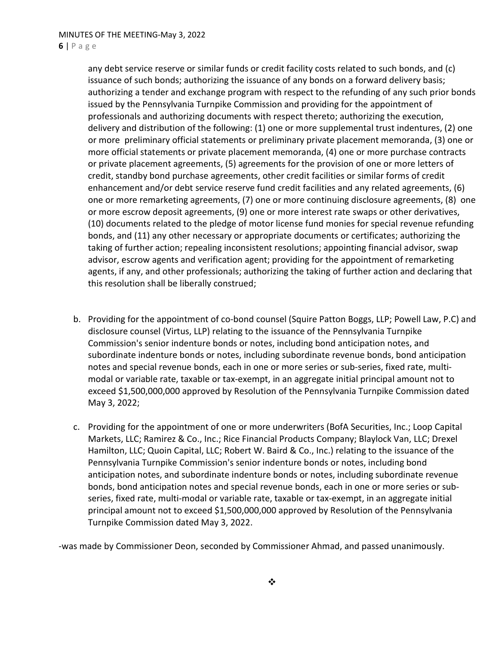any debt service reserve or similar funds or credit facility costs related to such bonds, and (c) issuance of such bonds; authorizing the issuance of any bonds on a forward delivery basis; authorizing a tender and exchange program with respect to the refunding of any such prior bonds issued by the Pennsylvania Turnpike Commission and providing for the appointment of professionals and authorizing documents with respect thereto; authorizing the execution, delivery and distribution of the following: (1) one or more supplemental trust indentures, (2) one or more preliminary official statements or preliminary private placement memoranda, (3) one or more official statements or private placement memoranda, (4) one or more purchase contracts or private placement agreements, (5) agreements for the provision of one or more letters of credit, standby bond purchase agreements, other credit facilities or similar forms of credit enhancement and/or debt service reserve fund credit facilities and any related agreements, (6) one or more remarketing agreements, (7) one or more continuing disclosure agreements, (8) one or more escrow deposit agreements, (9) one or more interest rate swaps or other derivatives, (10) documents related to the pledge of motor license fund monies for special revenue refunding bonds, and (11) any other necessary or appropriate documents or certificates; authorizing the taking of further action; repealing inconsistent resolutions; appointing financial advisor, swap advisor, escrow agents and verification agent; providing for the appointment of remarketing agents, if any, and other professionals; authorizing the taking of further action and declaring that this resolution shall be liberally construed;

- b. Providing for the appointment of co-bond counsel (Squire Patton Boggs, LLP; Powell Law, P.C) and disclosure counsel (Virtus, LLP) relating to the issuance of the Pennsylvania Turnpike Commission's senior indenture bonds or notes, including bond anticipation notes, and subordinate indenture bonds or notes, including subordinate revenue bonds, bond anticipation notes and special revenue bonds, each in one or more series or sub-series, fixed rate, multimodal or variable rate, taxable or tax-exempt, in an aggregate initial principal amount not to exceed \$1,500,000,000 approved by Resolution of the Pennsylvania Turnpike Commission dated May 3, 2022;
- c. Providing for the appointment of one or more underwriters (BofA Securities, Inc.; Loop Capital Markets, LLC; Ramirez & Co., Inc.; Rice Financial Products Company; Blaylock Van, LLC; Drexel Hamilton, LLC; Quoin Capital, LLC; Robert W. Baird & Co., Inc.) relating to the issuance of the Pennsylvania Turnpike Commission's senior indenture bonds or notes, including bond anticipation notes, and subordinate indenture bonds or notes, including subordinate revenue bonds, bond anticipation notes and special revenue bonds, each in one or more series or subseries, fixed rate, multi-modal or variable rate, taxable or tax-exempt, in an aggregate initial principal amount not to exceed \$1,500,000,000 approved by Resolution of the Pennsylvania Turnpike Commission dated May 3, 2022.

-was made by Commissioner Deon, seconded by Commissioner Ahmad, and passed unanimously.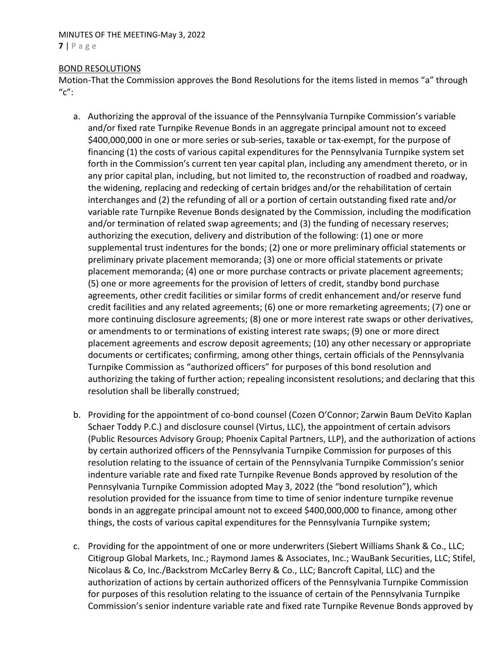#### MINUTES OF THE MEETING-May 3, 2022  $7 | P \text{ a ge}$

# BOND RESOLUTIONS

Motion-That the Commission approves the Bond Resolutions for the items listed in memos "a" through  $^{\prime\prime}$ c":

- a. Authorizing the approval of the issuance of the Pennsylvania Turnpike Commission's variable and/or fixed rate Turnpike Revenue Bonds in an aggregate principal amount not to exceed \$400,000,000 in one or more series or sub-series, taxable or tax-exempt, for the purpose of financing (1) the costs of various capital expenditures for the Pennsylvania Turnpike system set forth in the Commission's current ten year capital plan, including any amendment thereto, or in any prior capital plan, including, but not limited to, the reconstruction of roadbed and roadway, the widening, replacing and redecking of certain bridges and/or the rehabilitation of certain interchanges and (2) the refunding of all or a portion of certain outstanding fixed rate and/or variable rate Turnpike Revenue Bonds designated by the Commission, including the modification and/or termination of related swap agreements; and (3) the funding of necessary reserves; authorizing the execution, delivery and distribution of the following: (1) one or more supplemental trust indentures for the bonds; (2) one or more preliminary official statements or preliminary private placement memoranda; (3) one or more official statements or private placement memoranda; (4) one or more purchase contracts or private placement agreements; (5) one or more agreements for the provision of letters of credit, standby bond purchase agreements, other credit facilities or similar forms of credit enhancement and/or reserve fund credit facilities and any related agreements; (6) one or more remarketing agreements; (7) one or more continuing disclosure agreements; (8) one or more interest rate swaps or other derivatives, or amendments to or terminations of existing interest rate swaps; (9) one or more direct placement agreements and escrow deposit agreements; (10) any other necessary or appropriate documents or certificates; confirming, among other things, certain officials of the Pennsylvania Turnpike Commission as "authorized officers" for purposes of this bond resolution and authorizing the taking of further action; repealing inconsistent resolutions; and declaring that this resolution shall be liberally construed;
- b. Providing for the appointment of co-bond counsel (Cozen O'Connor; Zarwin Baum DeVito Kaplan Schaer Toddy P.C.) and disclosure counsel (Virtus, LLC), the appointment of certain advisors (Public Resources Advisory Group; Phoenix Capital Partners, LLP), and the authorization of actions by certain authorized officers of the Pennsylvania Turnpike Commission for purposes of this resolution relating to the issuance of certain of the Pennsylvania Turnpike Commission's senior indenture variable rate and fixed rate Turnpike Revenue Bonds approved by resolution of the Pennsylvania Turnpike Commission adopted May 3, 2022 (the "bond resolution"), which resolution provided for the issuance from time to time of senior indenture turnpike revenue bonds in an aggregate principal amount not to exceed \$400,000,000 to finance, among other things, the costs of various capital expenditures for the Pennsylvania Turnpike system;
- c. Providing for the appointment of one or more underwriters (Siebert Williams Shank & Co., LLC; Citigroup Global Markets, Inc.; Raymond James & Associates, Inc.; WauBank Securities, LLC; Stifel, Nicolaus & Co, Inc./Backstrom McCarley Berry & Co., LLC; Bancroft Capital, LLC) and the authorization of actions by certain authorized officers of the Pennsylvania Turnpike Commission for purposes of this resolution relating to the issuance of certain of the Pennsylvania Turnpike Commission's senior indenture variable rate and fixed rate Turnpike Revenue Bonds approved by